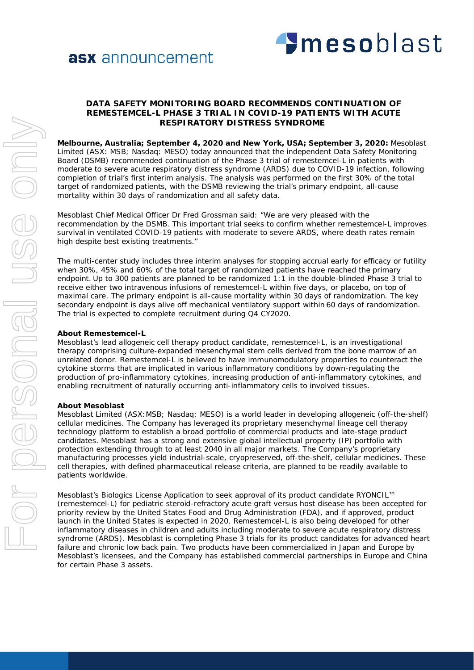# asx announcement



## **DATA SAFETY MONITORING BOARD RECOMMENDS CONTINUATION OF REMESTEMCEL-L PHASE 3 TRIAL IN COVID-19 PATIENTS WITH ACUTE RESPIRATORY DISTRESS SYNDROME**

**Melbourne, Australia; September 4, 2020 and New York, USA; September 3, 2020:** Mesoblast Limited (ASX: MSB; Nasdaq: MESO) today announced that the independent Data Safety Monitoring Board (DSMB) recommended continuation of the Phase 3 trial of remestemcel-L in patients with moderate to severe acute respiratory distress syndrome (ARDS) due to COVID-19 infection, following completion of trial's first interim analysis. The analysis was performed on the first 30% of the total target of randomized patients, with the DSMB reviewing the trial's primary endpoint, all-cause mortality within 30 days of randomization and all safety data.

Mesoblast Chief Medical Officer Dr Fred Grossman said: "We are very pleased with the recommendation by the DSMB. This important trial seeks to confirm whether remestemcel-L improves survival in ventilated COVID-19 patients with moderate to severe ARDS, where death rates remain high despite best existing treatments."

The multi-center study includes three interim analyses for stopping accrual early for efficacy or futility when 30%, 45% and 60% of the total target of randomized patients have reached the primary endpoint. Up to 300 patients are planned to be randomized 1:1 in the double-blinded Phase 3 trial to receive either two intravenous infusions of remestemcel-L within five days, or placebo, on top of maximal care. The primary endpoint is all-cause mortality within 30 days of randomization. The key secondary endpoint is days alive off mechanical ventilatory support within 60 days of randomization. The trial is expected to complete recruitment during Q4 CY2020.

## **About Remestemcel-L**

Mesoblast's lead allogeneic cell therapy product candidate, remestemcel-L, is an investigational therapy comprising culture-expanded mesenchymal stem cells derived from the bone marrow of an unrelated donor. Remestemcel-L is believed to have immunomodulatory properties to counteract the cytokine storms that are implicated in various inflammatory conditions by down-regulating the production of pro-inflammatory cytokines, increasing production of anti-inflammatory cytokines, and enabling recruitment of naturally occurring anti-inflammatory cells to involved tissues.

### **About Mesoblast**

Mesoblast Limited (ASX:MSB; Nasdaq: MESO) is a world leader in developing allogeneic (off-the-shelf) cellular medicines. The Company has leveraged its proprietary mesenchymal lineage cell therapy technology platform to establish a broad portfolio of commercial products and late-stage product candidates. Mesoblast has a strong and extensive global intellectual property (IP) portfolio with protection extending through to at least 2040 in all major markets. The Company's proprietary manufacturing processes yield industrial-scale, cryopreserved, off-the-shelf, cellular medicines. These cell therapies, with defined pharmaceutical release criteria, are planned to be readily available to patients worldwide.

Mesoblast's Biologics License Application to seek approval of its product candidate RYONCIL™ (remestemcel-L) for pediatric steroid-refractory acute graft versus host disease has been accepted for priority review by the United States Food and Drug Administration (FDA), and if approved, product launch in the United States is expected in 2020. Remestemcel-L is also being developed for other inflammatory diseases in children and adults including moderate to severe acute respiratory distress syndrome (ARDS). Mesoblast is completing Phase 3 trials for its product candidates for advanced heart failure and chronic low back pain. Two products have been commercialized in Japan and Europe by Mesoblast's licensees, and the Company has established commercial partnerships in Europe and China for certain Phase 3 assets.